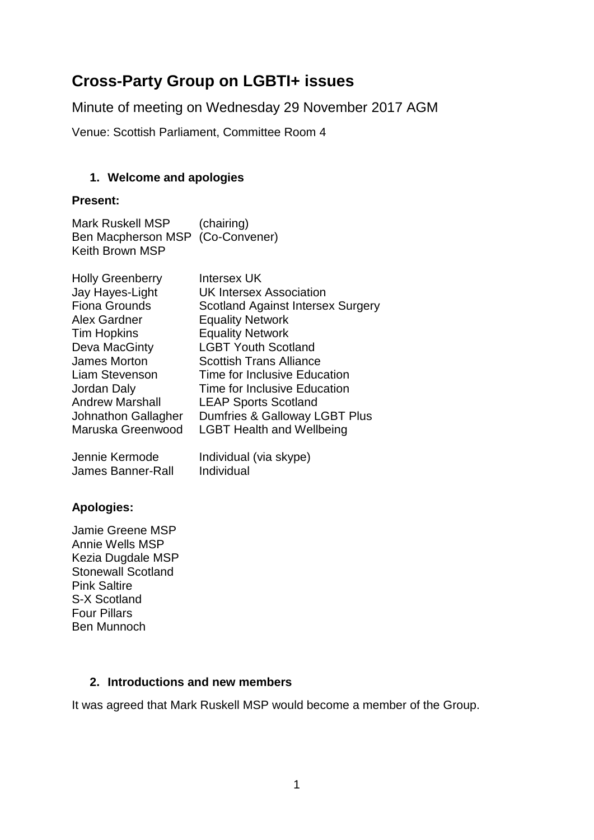# **Cross-Party Group on LGBTI+ issues**

Minute of meeting on Wednesday 29 November 2017 AGM

Venue: Scottish Parliament, Committee Room 4

## **1. Welcome and apologies**

#### **Present:**

Mark Ruskell MSP (chairing) Ben Macpherson MSP (Co-Convener) Keith Brown MSP

| <b>Holly Greenberry</b> | <b>Intersex UK</b>                       |
|-------------------------|------------------------------------------|
| Jay Hayes-Light         | <b>UK Intersex Association</b>           |
| <b>Fiona Grounds</b>    | <b>Scotland Against Intersex Surgery</b> |
| Alex Gardner            | <b>Equality Network</b>                  |
| <b>Tim Hopkins</b>      | <b>Equality Network</b>                  |
| Deva MacGinty           | <b>LGBT Youth Scotland</b>               |
| James Morton            | <b>Scottish Trans Alliance</b>           |
| Liam Stevenson          | Time for Inclusive Education             |
| Jordan Daly             | Time for Inclusive Education             |
| <b>Andrew Marshall</b>  | <b>LEAP Sports Scotland</b>              |
| Johnathon Gallagher     | Dumfries & Galloway LGBT Plus            |
| Maruska Greenwood       | <b>LGBT Health and Wellbeing</b>         |
|                         |                                          |

Jennie Kermode Individual (via skype) James Banner-Rall Individual

## **Apologies:**

Jamie Greene MSP Annie Wells MSP Kezia Dugdale MSP Stonewall Scotland Pink Saltire S-X Scotland Four Pillars Ben Munnoch

## **2. Introductions and new members**

It was agreed that Mark Ruskell MSP would become a member of the Group.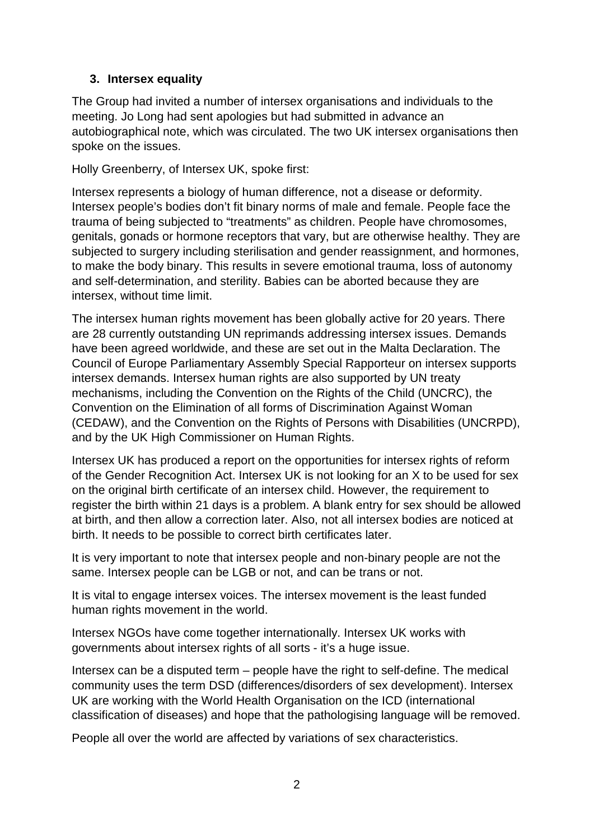## **3. Intersex equality**

The Group had invited a number of intersex organisations and individuals to the meeting. Jo Long had sent apologies but had submitted in advance an autobiographical note, which was circulated. The two UK intersex organisations then spoke on the issues.

Holly Greenberry, of Intersex UK, spoke first:

Intersex represents a biology of human difference, not a disease or deformity. Intersex people's bodies don't fit binary norms of male and female. People face the trauma of being subjected to "treatments" as children. People have chromosomes, genitals, gonads or hormone receptors that vary, but are otherwise healthy. They are subjected to surgery including sterilisation and gender reassignment, and hormones, to make the body binary. This results in severe emotional trauma, loss of autonomy and self-determination, and sterility. Babies can be aborted because they are intersex, without time limit.

The intersex human rights movement has been globally active for 20 years. There are 28 currently outstanding UN reprimands addressing intersex issues. Demands have been agreed worldwide, and these are set out in the Malta Declaration. The Council of Europe Parliamentary Assembly Special Rapporteur on intersex supports intersex demands. Intersex human rights are also supported by UN treaty mechanisms, including the Convention on the Rights of the Child (UNCRC), the Convention on the Elimination of all forms of Discrimination Against Woman (CEDAW), and the Convention on the Rights of Persons with Disabilities (UNCRPD), and by the UK High Commissioner on Human Rights.

Intersex UK has produced a report on the opportunities for intersex rights of reform of the Gender Recognition Act. Intersex UK is not looking for an X to be used for sex on the original birth certificate of an intersex child. However, the requirement to register the birth within 21 days is a problem. A blank entry for sex should be allowed at birth, and then allow a correction later. Also, not all intersex bodies are noticed at birth. It needs to be possible to correct birth certificates later.

It is very important to note that intersex people and non-binary people are not the same. Intersex people can be LGB or not, and can be trans or not.

It is vital to engage intersex voices. The intersex movement is the least funded human rights movement in the world.

Intersex NGOs have come together internationally. Intersex UK works with governments about intersex rights of all sorts - it's a huge issue.

Intersex can be a disputed term – people have the right to self-define. The medical community uses the term DSD (differences/disorders of sex development). Intersex UK are working with the World Health Organisation on the ICD (international classification of diseases) and hope that the pathologising language will be removed.

People all over the world are affected by variations of sex characteristics.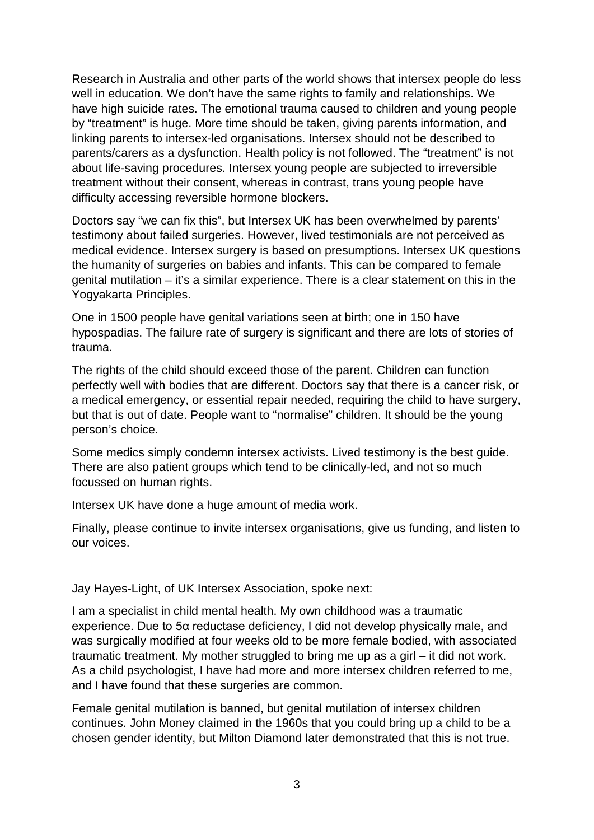Research in Australia and other parts of the world shows that intersex people do less well in education. We don't have the same rights to family and relationships. We have high suicide rates. The emotional trauma caused to children and young people by "treatment" is huge. More time should be taken, giving parents information, and linking parents to intersex-led organisations. Intersex should not be described to parents/carers as a dysfunction. Health policy is not followed. The "treatment" is not about life-saving procedures. Intersex young people are subjected to irreversible treatment without their consent, whereas in contrast, trans young people have difficulty accessing reversible hormone blockers.

Doctors say "we can fix this", but Intersex UK has been overwhelmed by parents' testimony about failed surgeries. However, lived testimonials are not perceived as medical evidence. Intersex surgery is based on presumptions. Intersex UK questions the humanity of surgeries on babies and infants. This can be compared to female genital mutilation – it's a similar experience. There is a clear statement on this in the Yogyakarta Principles.

One in 1500 people have genital variations seen at birth; one in 150 have hypospadias. The failure rate of surgery is significant and there are lots of stories of trauma.

The rights of the child should exceed those of the parent. Children can function perfectly well with bodies that are different. Doctors say that there is a cancer risk, or a medical emergency, or essential repair needed, requiring the child to have surgery, but that is out of date. People want to "normalise" children. It should be the young person's choice.

Some medics simply condemn intersex activists. Lived testimony is the best guide. There are also patient groups which tend to be clinically-led, and not so much focussed on human rights.

Intersex UK have done a huge amount of media work.

Finally, please continue to invite intersex organisations, give us funding, and listen to our voices.

Jay Hayes-Light, of UK Intersex Association, spoke next:

I am a specialist in child mental health. My own childhood was a traumatic experience. Due to 5α reductase deficiency, I did not develop physically male, and was surgically modified at four weeks old to be more female bodied, with associated traumatic treatment. My mother struggled to bring me up as a girl – it did not work. As a child psychologist, I have had more and more intersex children referred to me, and I have found that these surgeries are common.

Female genital mutilation is banned, but genital mutilation of intersex children continues. John Money claimed in the 1960s that you could bring up a child to be a chosen gender identity, but Milton Diamond later demonstrated that this is not true.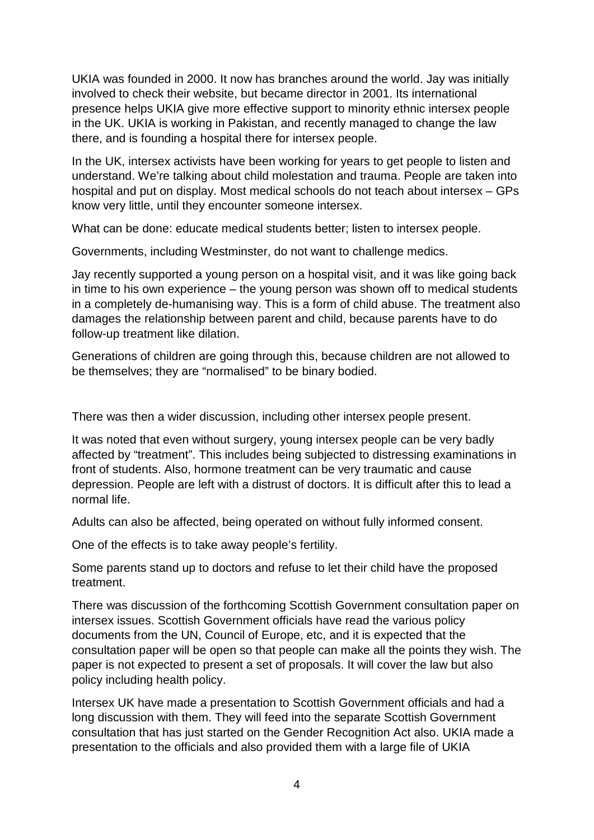UKIA was founded in 2000. It now has branches around the world. Jay was initially involved to check their website, but became director in 2001. Its international presence helps UKIA give more effective support to minority ethnic intersex people in the UK. UKIA is working in Pakistan, and recently managed to change the law there, and is founding a hospital there for intersex people.

In the UK, intersex activists have been working for years to get people to listen and understand. We're talking about child molestation and trauma. People are taken into hospital and put on display. Most medical schools do not teach about intersex – GPs know very little, until they encounter someone intersex.

What can be done: educate medical students better; listen to intersex people.

Governments, including Westminster, do not want to challenge medics.

Jay recently supported a young person on a hospital visit, and it was like going back in time to his own experience – the young person was shown off to medical students in a completely de-humanising way. This is a form of child abuse. The treatment also damages the relationship between parent and child, because parents have to do follow-up treatment like dilation.

Generations of children are going through this, because children are not allowed to be themselves; they are "normalised" to be binary bodied.

There was then a wider discussion, including other intersex people present.

It was noted that even without surgery, young intersex people can be very badly affected by "treatment". This includes being subjected to distressing examinations in front of students. Also, hormone treatment can be very traumatic and cause depression. People are left with a distrust of doctors. It is difficult after this to lead a normal life.

Adults can also be affected, being operated on without fully informed consent.

One of the effects is to take away people's fertility.

Some parents stand up to doctors and refuse to let their child have the proposed treatment.

There was discussion of the forthcoming Scottish Government consultation paper on intersex issues. Scottish Government officials have read the various policy documents from the UN, Council of Europe, etc, and it is expected that the consultation paper will be open so that people can make all the points they wish. The paper is not expected to present a set of proposals. It will cover the law but also policy including health policy.

Intersex UK have made a presentation to Scottish Government officials and had a long discussion with them. They will feed into the separate Scottish Government consultation that has just started on the Gender Recognition Act also. UKIA made a presentation to the officials and also provided them with a large file of UKIA